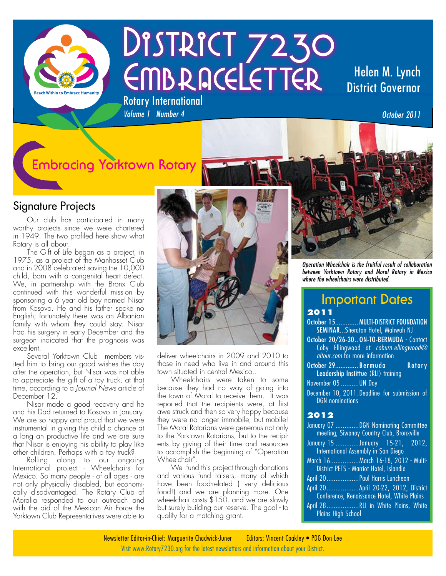

# DISTRICT 7230 EMBRACELETTER Rotary International

## Helen M. Lynch District Governor

*Volume 1 Number 4* 

# **Embracing Yorktown Rotary**

#### Signature Projects

Our club has participated in many worthy projects since we were chartered in 1949. The two profiled here show what Rotary is all about.

The Gift of Life began as a project, in 1975, as a project of the Manhasset Club and in 2008 celebrated saving the 10,000 child, born with a congenital heart defect. We, in partnership with the Bronx Club continued with this wonderful mission by sponsoring a 6 year old boy named Nisar from Kosovo. He and his father spoke no English; fortunately there was an Albanian family with whom they could stay. Nisar had his surgery in early December and the surgeon indicated that the prognosis was excellent.

Several Yorktown Club members visited him to bring our good wishes the day after the operation, but Nisar was not able to appreciate the gift of a toy truck, at that time, according to a *Journal News* article of December 12.

Nisar made a good recovery and he and his Dad returned to Kosovo in January. We are so happy and proud that we were instrumental in giving this child a chance at a long an productive life and we are sure that Nisar is enjoying his ability to play like other children. Perhaps with a toy truck?

Rolling along to our ongoing International project - Wheelchairs for Mexico. So many people - of all ages - are not only physically disabled, but economically disadvantaged. The Rotary Club of Moralia responded to our outreach and with the aid of the Mexican Air Force the Yorktown Club Representatives were able to



deliver wheelchairs in 2009 and 2010 to those in need who live in and around this town situated in central Mexico..

Wheelchairs were taken to some because they had no way of going into the town of Moral to receive them. It was reported that the recipients were, at first awe struck and then so very happy because they were no longer immobile, but mobile! The Moral Rotarians were generous not only to the Yorktown Rotarians, but to the recipients by giving of their time and resources to accomplish the beginning of "Operation Wheelchair".

We fund this project through donations and various fund raisers, many of which have been food-related (very delicious food!) and we are planning more. One wheelchair costs \$150. and we are slowly but surely building our reserve. The goal - to qualify for a matching grant.



*Operation Wheelchair is the fruitful result of collaboration between Yorktown Rotary and Moral Rotary in Mexico where the wheelchairs were distributed.*

# **Important Dates**

#### **2011**

- October 15............. MULTI-DISTRICT FOUNDATION SEMINAR...Sheraton Hotel, Mahwah NJ
- October 20/26-30.. ON-TO-BERMUDA Contact Coby Ellingwood at *coburn.ellingwood@ altour.com* for more information
- October 29............. Bermuda Rotary Leadership Instittue (RLI) training November 05 ..........UN Day
- December 10, 2011. Deadline for submission of DGN nominations

#### **2012**

| January 07 DGN Nominating Committee<br>meeting, Siwanoy Country Club, Bronxville                                                                       |
|--------------------------------------------------------------------------------------------------------------------------------------------------------|
| January 15 January 15-21, 2012,<br><b>International Assembly in San Diego</b>                                                                          |
| March 16March 16-18, 2012 - Multi-<br>District PETS - Marriot Hotel, Islandia                                                                          |
| April 20 Paul Harris Luncheon                                                                                                                          |
| April 20 April 20-22, 2012, District<br>Conference, Renaissance Hotel, White Plains<br>April 28RLI in White Plains, White<br><b>Plains High School</b> |

*October 2011*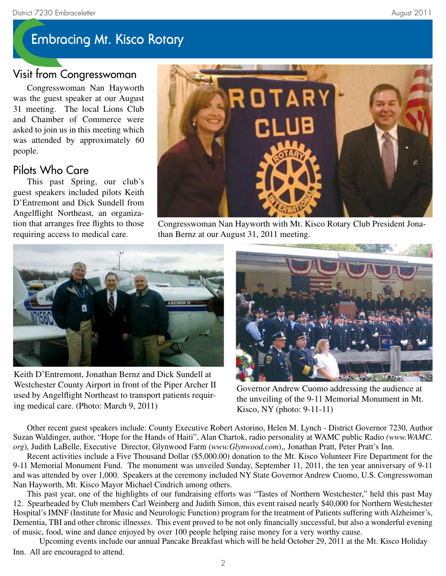# **Embracing Mt. Kisco Rotary**

### Visit from Congresswoman

Congresswoman Nan Hayworth was the guest speaker at our August 31 meeting. The local Lions Club and Chamber of Commerce were asked to join us in this meeting which was attended by approximately 60 people.

#### Pilots Who Care

This past Spring, our club's guest speakers included pilots Keith D'Entremont and Dick Sundell from Angelflight Northeast, an organization that arranges free flights to those requiring access to medical care.



Congresswoman Nan Hayworth with Mt. Kisco Rotary Club President Jonathan Bernz at our August 31, 2011 meeting.



Keith D'Entremont, Jonathan Bernz and Dick Sundell at Westchester County Airport in front of the Piper Archer II used by Angelflight Northeast to transport patients requiring medical care. (Photo: March 9, 2011)



Governor Andrew Cuomo addressing the audience at the unveiling of the 9-11 Memorial Monument in Mt. Kisco, NY (photo: 9-11-11)

Other recent guest speakers include: County Executive Robert Astorino, Helen M. Lynch - District Governor 7230, Author Suzan Waldinger, author, "Hope for the Hands of Haiti", Alan Chartok, radio personality at WAMC public Radio *(www.WAMC. org*), Judith LaBelle, Executive Director, Glynwood Farm (*www.Glynwood,com*),, Jonathan Pratt, Peter Pratt's Inn.

Recent activities include a Five Thousand Dollar (\$5,000.00) donation to the Mt. Kisco Volunteer Fire Department for the 9-11 Memorial Monument Fund. The monument was unveiled Sunday, September 11, 2011, the ten year anniversary of 9-11 and was attended by over 1,000. Speakers at the ceremony included NY State Governor Andrew Cuomo, U.S. Congresswoman Nan Hayworth, Mt. Kisco Mayor Michael Cindrich among others.

This past year, one of the highlights of our fundraising efforts was "Tastes of Northern Westchester," held this past May 12. Spearheaded by Club members Carl Weinberg and Judith Simon, this event raised nearly \$40,000 for Northern Westchester Hospital's IMNF (Institute for Music and Neurologic Function) program for the treatment of Patients suffering with Alzheimer's, Dementia, TBI and other chronic illnesses. This event proved to be not only financially successful, but also a wonderful evening of music, food, wine and dance enjoyed by over 100 people helping raise money for a very worthy cause.

Upcoming events include our annual Pancake Breakfast which will be held October 29, 2011 at the Mt. Kisco Holiday Inn. All are encouraged to attend.